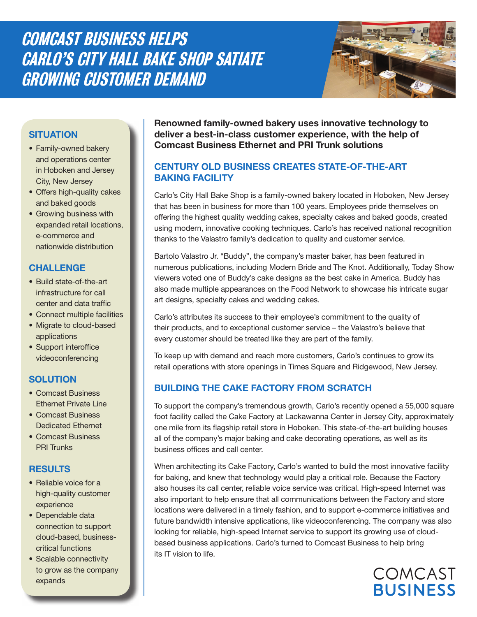# COMCAST BUSINESS HELPS CARLO'S CITY HALL BAKE SHOP SATIATE GROWING CUSTOMER DEMAND



### **SITUATION**

- Family-owned bakery and operations center in Hoboken and Jersey City, New Jersey
- Offers high-quality cakes and baked goods
- Growing business with expanded retail locations, e-commerce and nationwide distribution

#### **CHALLENGE**

- Build state-of-the-art infrastructure for call center and data traffic
- Connect multiple facilities
- Migrate to cloud-based applications
- Support interoffice videoconferencing

## **SOLUTION**

- Comcast Business Ethernet Private Line
- Comcast Business Dedicated Ethernet
- Comcast Business PRI Trunks

#### **RESULTS**

- Reliable voice for a high-quality customer experience
- Dependable data connection to support cloud-based, businesscritical functions
- Scalable connectivity to grow as the company expands

**Renowned family-owned bakery uses innovative technology to deliver a best-in-class customer experience, with the help of Comcast Business Ethernet and PRI Trunk solutions**

### **CENTURY OLD BUSINESS CREATES STATE-OF-THE-ART BAKING FACILITY**

Carlo's City Hall Bake Shop is a family-owned bakery located in Hoboken, New Jersey that has been in business for more than 100 years. Employees pride themselves on offering the highest quality wedding cakes, specialty cakes and baked goods, created using modern, innovative cooking techniques. Carlo's has received national recognition thanks to the Valastro family's dedication to quality and customer service.

Bartolo Valastro Jr. "Buddy", the company's master baker, has been featured in numerous publications, including Modern Bride and The Knot. Additionally, Today Show viewers voted one of Buddy's cake designs as the best cake in America. Buddy has also made multiple appearances on the Food Network to showcase his intricate sugar art designs, specialty cakes and wedding cakes.

Carlo's attributes its success to their employee's commitment to the quality of their products, and to exceptional customer service – the Valastro's believe that every customer should be treated like they are part of the family.

To keep up with demand and reach more customers, Carlo's continues to grow its retail operations with store openings in Times Square and Ridgewood, New Jersey.

## **BUILDING THE CAKE FACTORY FROM SCRATCH**

To support the company's tremendous growth, Carlo's recently opened a 55,000 square foot facility called the Cake Factory at Lackawanna Center in Jersey City, approximately one mile from its flagship retail store in Hoboken. This state-of-the-art building houses all of the company's major baking and cake decorating operations, as well as its business offices and call center.

When architecting its Cake Factory, Carlo's wanted to build the most innovative facility for baking, and knew that technology would play a critical role. Because the Factory also houses its call center, reliable voice service was critical. High-speed Internet was also important to help ensure that all communications between the Factory and store locations were delivered in a timely fashion, and to support e-commerce initiatives and future bandwidth intensive applications, like videoconferencing. The company was also looking for reliable, high-speed Internet service to support its growing use of cloudbased business applications. Carlo's turned to Comcast Business to help bring its IT vision to life.